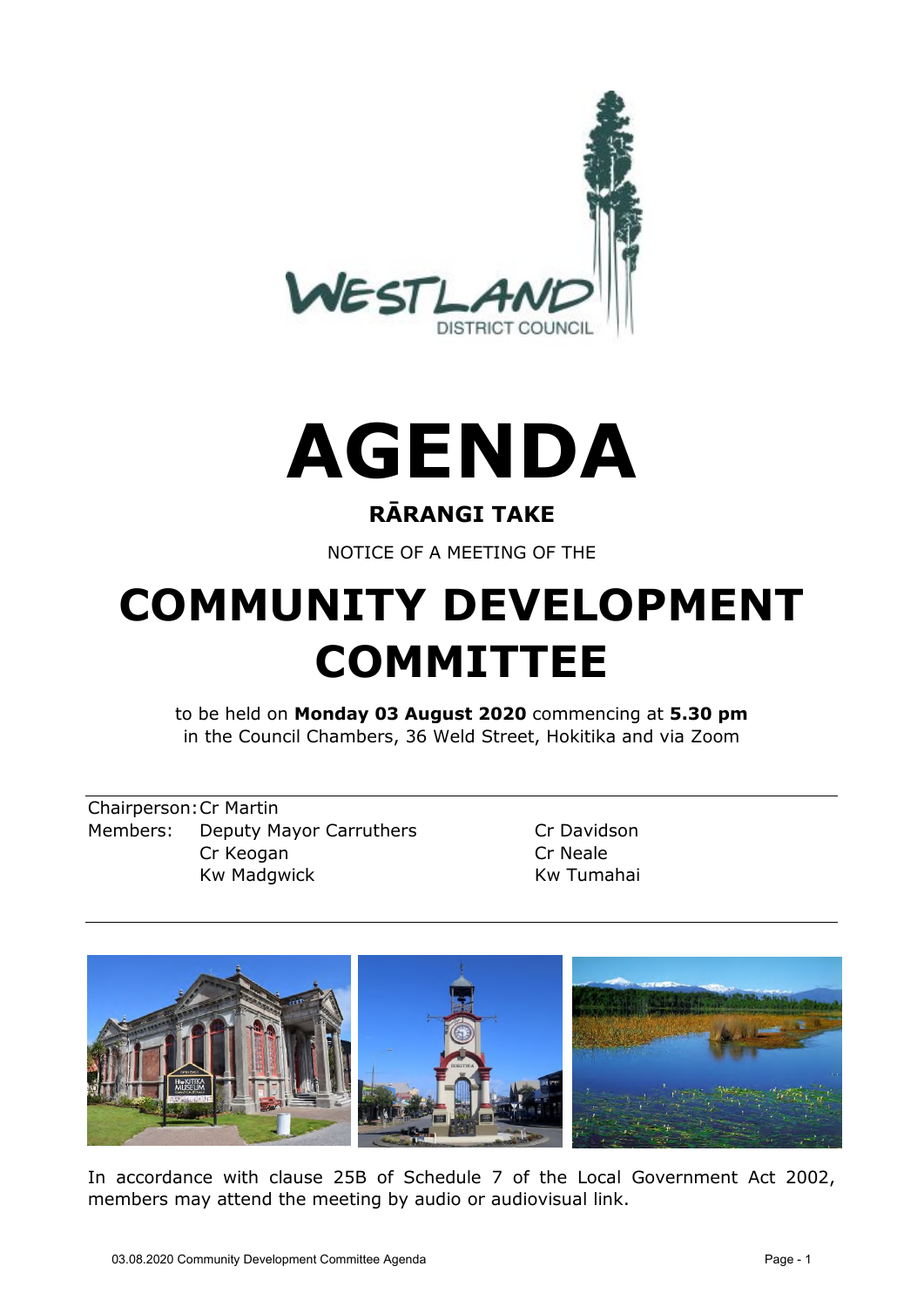



#### **RĀRANGI TAKE**

NOTICE OF A MEETING OF THE

# **COMMUNITY DEVELOPMENT COMMITTEE**

to be held on **Monday 03 August 2020** commencing at **5.30 pm**  in the Council Chambers, 36 Weld Street, Hokitika and via Zoom

Chairperson: Cr Martin Members: Deputy Mayor Carruthers Cr Davidson Cr Keogan Cr Neale Kw Madgwick **Kw Tumahai** 



In accordance with clause 25B of Schedule 7 of the Local Government Act 2002, members may attend the meeting by audio or audiovisual link.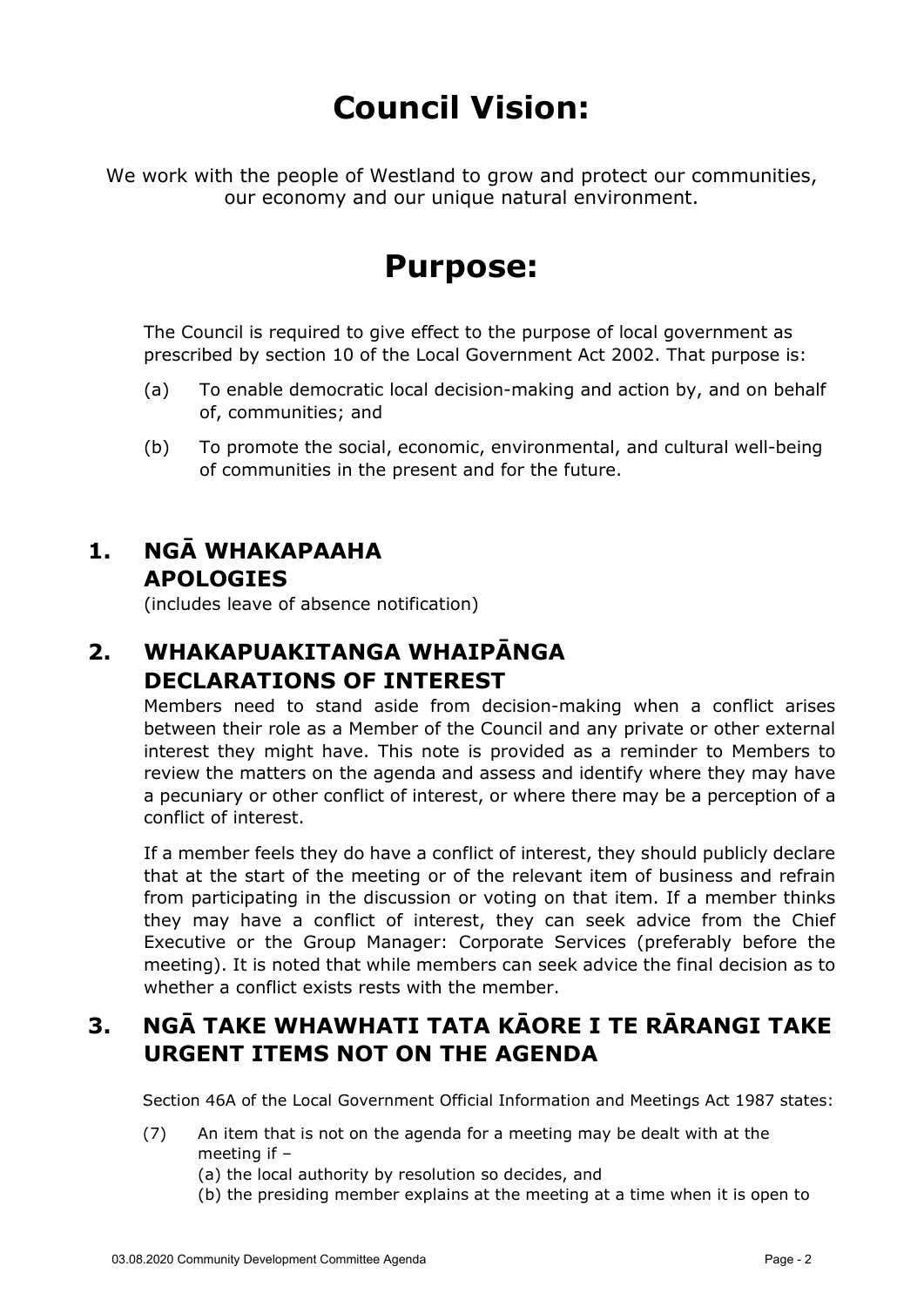# **Council Vision:**

We work with the people of Westland to grow and protect our communities, our economy and our unique natural environment.

## **Purpose:**

The Council is required to give effect to the purpose of local government as prescribed by section 10 of the Local Government Act 2002. That purpose is:

- (a) To enable democratic local decision-making and action by, and on behalf of, communities; and
- (b) To promote the social, economic, environmental, and cultural well-being of communities in the present and for the future.

### **1. NGĀ WHAKAPAAHA APOLOGIES**

(includes leave of absence notification)

## **2. WHAKAPUAKITANGA WHAIPĀNGA DECLARATIONS OF INTEREST**

Members need to stand aside from decision-making when a conflict arises between their role as a Member of the Council and any private or other external interest they might have. This note is provided as a reminder to Members to review the matters on the agenda and assess and identify where they may have a pecuniary or other conflict of interest, or where there may be a perception of a conflict of interest.

If a member feels they do have a conflict of interest, they should publicly declare that at the start of the meeting or of the relevant item of business and refrain from participating in the discussion or voting on that item. If a member thinks they may have a conflict of interest, they can seek advice from the Chief Executive or the Group Manager: Corporate Services (preferably before the meeting). It is noted that while members can seek advice the final decision as to whether a conflict exists rests with the member.

#### **3. NGĀ TAKE WHAWHATI TATA KĀORE I TE RĀRANGI TAKE URGENT ITEMS NOT ON THE AGENDA**

Section 46A of the Local Government Official Information and Meetings Act 1987 states:

- (7) An item that is not on the agenda for a meeting may be dealt with at the meeting if –
	- (a) the local authority by resolution so decides, and
	- (b) the presiding member explains at the meeting at a time when it is open to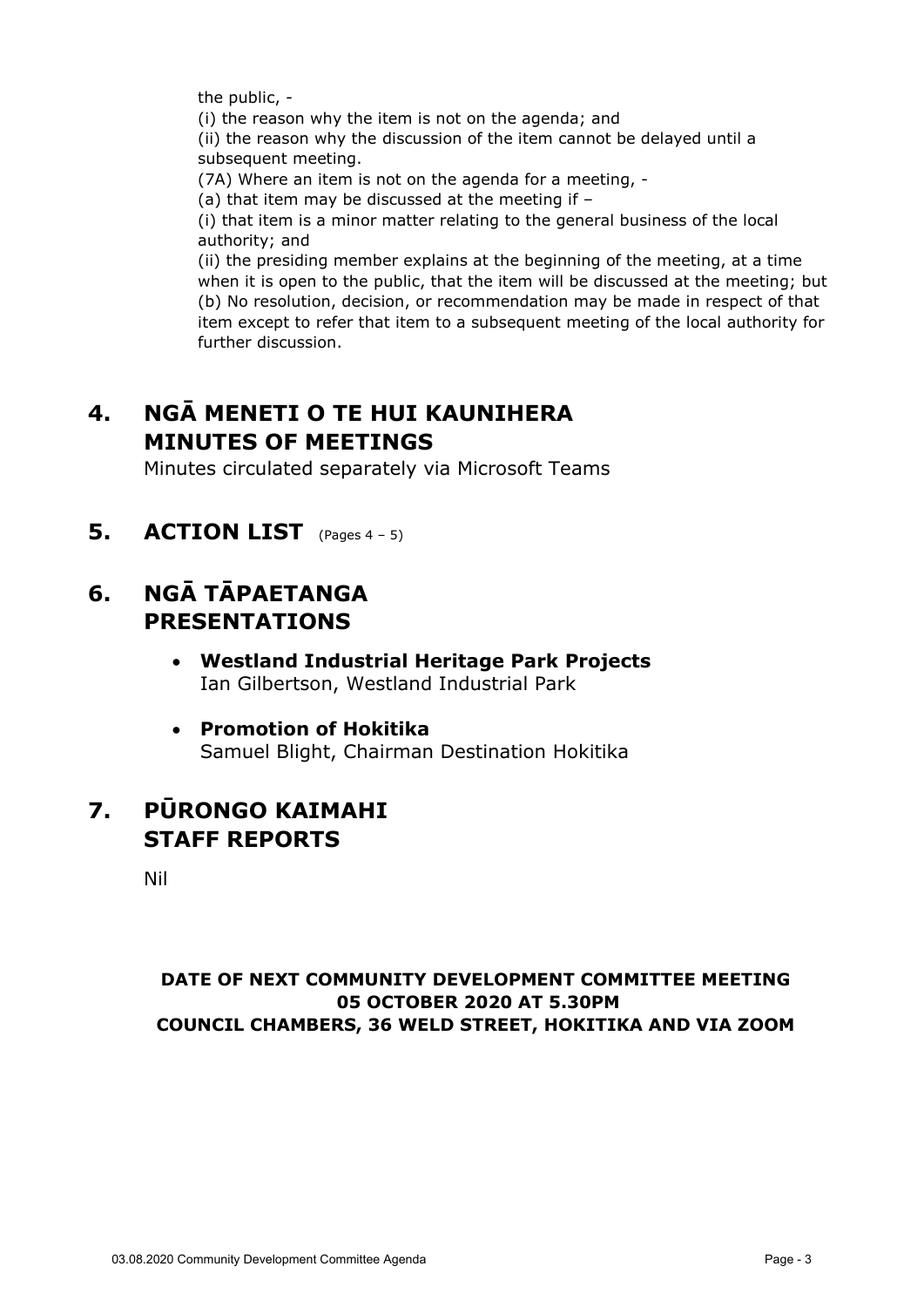the public, -

(i) the reason why the item is not on the agenda; and

(ii) the reason why the discussion of the item cannot be delayed until a subsequent meeting.

(7A) Where an item is not on the agenda for a meeting, -

(a) that item may be discussed at the meeting if –

(i) that item is a minor matter relating to the general business of the local authority; and

(ii) the presiding member explains at the beginning of the meeting, at a time when it is open to the public, that the item will be discussed at the meeting; but (b) No resolution, decision, or recommendation may be made in respect of that item except to refer that item to a subsequent meeting of the local authority for further discussion.

## **4. NGĀ MENETI O TE HUI KAUNIHERA MINUTES OF MEETINGS**

Minutes circulated separately via Microsoft Teams

**5.** ACTION LIST (Pages 4 – 5)

#### **6. NGĀ TĀPAETANGA PRESENTATIONS**

- **Westland Industrial Heritage Park Projects** Ian Gilbertson, Westland Industrial Park
- **Promotion of Hokitika**  Samuel Blight, Chairman Destination Hokitika

#### **7. PŪRONGO KAIMAHI STAFF REPORTS**

Nil

#### **DATE OF NEXT COMMUNITY DEVELOPMENT COMMITTEE MEETING 05 OCTOBER 2020 AT 5.30PM COUNCIL CHAMBERS, 36 WELD STREET, HOKITIKA AND VIA ZOOM**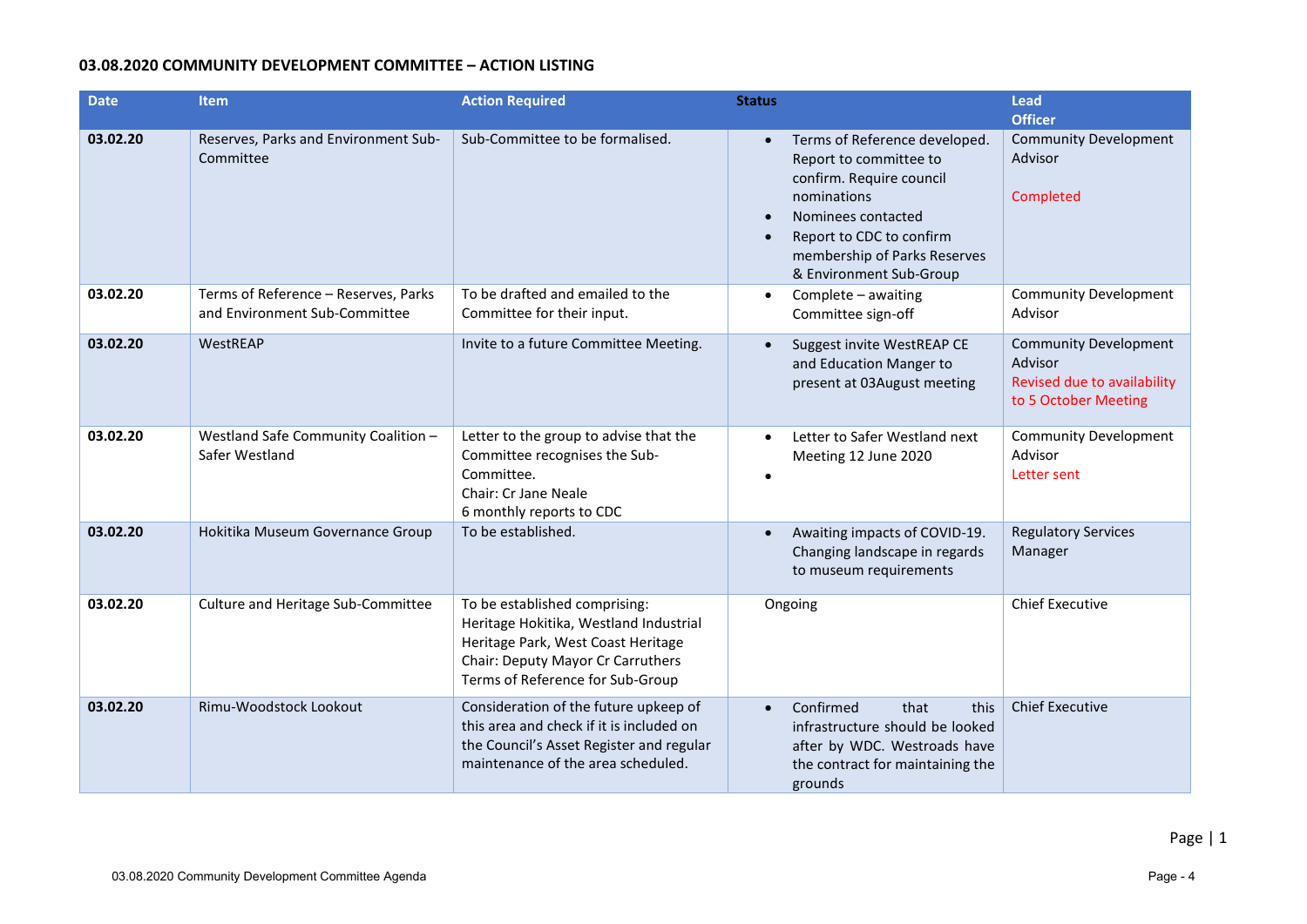#### **03.08.2020 COMMUNITY DEVELOPMENT COMMITTEE – ACTION LISTING**

| <b>Date</b> | <b>Item</b>                                                           | <b>Action Required</b>                                                                                                                                                                 | <b>Status</b>                                                                                                                                                                                                                                          | <b>Lead</b><br><b>Officer</b>                                                                  |
|-------------|-----------------------------------------------------------------------|----------------------------------------------------------------------------------------------------------------------------------------------------------------------------------------|--------------------------------------------------------------------------------------------------------------------------------------------------------------------------------------------------------------------------------------------------------|------------------------------------------------------------------------------------------------|
| 03.02.20    | Reserves, Parks and Environment Sub-<br>Committee                     | Sub-Committee to be formalised.                                                                                                                                                        | Terms of Reference developed.<br>$\bullet$<br>Report to committee to<br>confirm. Require council<br>nominations<br>Nominees contacted<br>$\bullet$<br>Report to CDC to confirm<br>$\bullet$<br>membership of Parks Reserves<br>& Environment Sub-Group | <b>Community Development</b><br>Advisor<br>Completed                                           |
| 03.02.20    | Terms of Reference - Reserves, Parks<br>and Environment Sub-Committee | To be drafted and emailed to the<br>Committee for their input.                                                                                                                         | Complete - awaiting<br>$\bullet$<br>Committee sign-off                                                                                                                                                                                                 | <b>Community Development</b><br>Advisor                                                        |
| 03.02.20    | WestREAP                                                              | Invite to a future Committee Meeting.                                                                                                                                                  | Suggest invite WestREAP CE<br>$\bullet$<br>and Education Manger to<br>present at 03August meeting                                                                                                                                                      | <b>Community Development</b><br>Advisor<br>Revised due to availability<br>to 5 October Meeting |
| 03.02.20    | Westland Safe Community Coalition -<br>Safer Westland                 | Letter to the group to advise that the<br>Committee recognises the Sub-<br>Committee.<br><b>Chair: Cr Jane Neale</b><br>6 monthly reports to CDC                                       | Letter to Safer Westland next<br>$\bullet$<br>Meeting 12 June 2020<br>$\bullet$                                                                                                                                                                        | <b>Community Development</b><br>Advisor<br>Letter sent                                         |
| 03.02.20    | Hokitika Museum Governance Group                                      | To be established.                                                                                                                                                                     | Awaiting impacts of COVID-19.<br>$\bullet$<br>Changing landscape in regards<br>to museum requirements                                                                                                                                                  | <b>Regulatory Services</b><br>Manager                                                          |
| 03.02.20    | Culture and Heritage Sub-Committee                                    | To be established comprising:<br>Heritage Hokitika, Westland Industrial<br>Heritage Park, West Coast Heritage<br>Chair: Deputy Mayor Cr Carruthers<br>Terms of Reference for Sub-Group | Ongoing                                                                                                                                                                                                                                                | <b>Chief Executive</b>                                                                         |
| 03.02.20    | Rimu-Woodstock Lookout                                                | Consideration of the future upkeep of<br>this area and check if it is included on<br>the Council's Asset Register and regular<br>maintenance of the area scheduled.                    | Confirmed<br>that<br>this<br>infrastructure should be looked<br>after by WDC. Westroads have<br>the contract for maintaining the<br>grounds                                                                                                            | <b>Chief Executive</b>                                                                         |

Page | 1